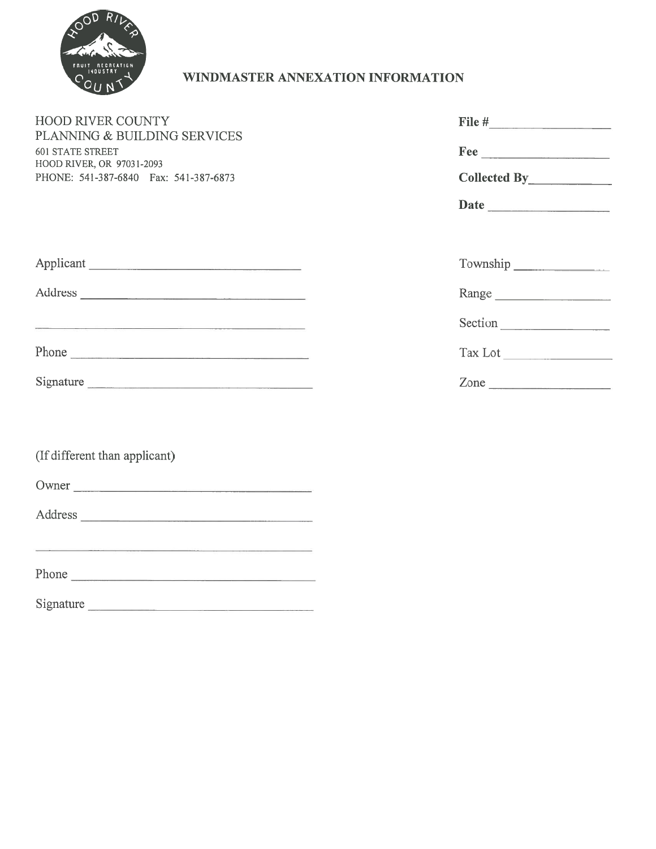

# WINDMASTER ANNEXATION INFORMATION

| FRUIT<br>RECREATION                                                                                                                                                                                                                     | WINDMASTER ANNEXATION INFORMATION |
|-----------------------------------------------------------------------------------------------------------------------------------------------------------------------------------------------------------------------------------------|-----------------------------------|
| <b>HOOD RIVER COUNTY</b><br>PLANNING & BUILDING SERVICES<br><b>601 STATE STREET</b><br>HOOD RIVER, OR 97031-2093<br>PHONE: 541-387-6840 Fax: 541-387-6873                                                                               | $\textbf{Free} \_\_\_\_\_\_\_$    |
|                                                                                                                                                                                                                                         | Date                              |
| Applicant                                                                                                                                                                                                                               | Township                          |
|                                                                                                                                                                                                                                         | Range                             |
| <u> 1950 - Johann Barn, mars an t-Amerikaansk politiker (</u>                                                                                                                                                                           | Section                           |
| Phone                                                                                                                                                                                                                                   | Tax Lot                           |
| Signature                                                                                                                                                                                                                               | $\mathsf{Zone}$                   |
| (If different than applicant)<br>Owner                                                                                                                                                                                                  |                                   |
|                                                                                                                                                                                                                                         |                                   |
| and the contract of the contract of the contract of the contract of the contract of the contract of the contract of the contract of the contract of the contract of the contract of the contract of the contract of the contra<br>Phone |                                   |

Signature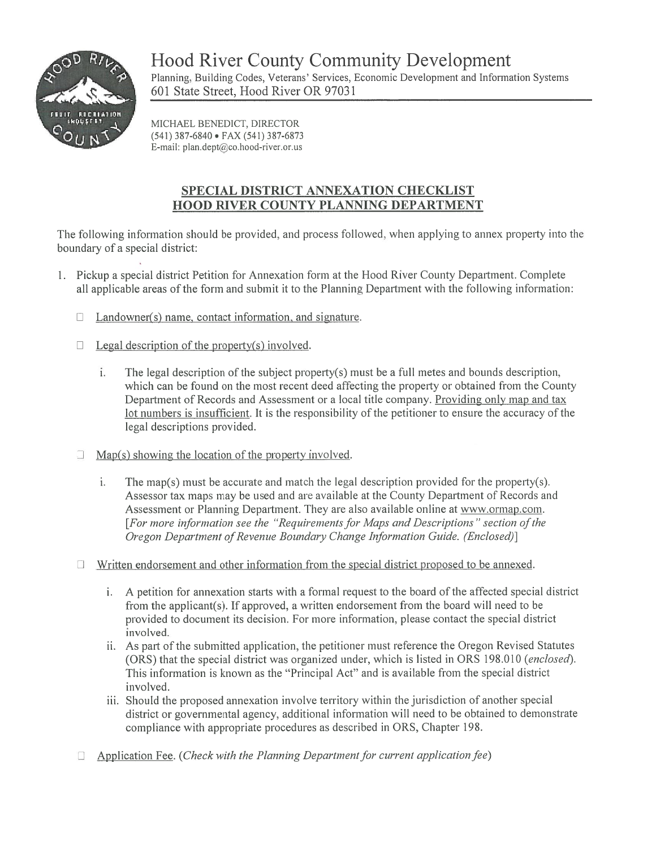

Hood River County Community Development Planning, Building Codes, Veterans' Services, Economic Development and Information Systems 601 State Street, Hood River OR 97031

MICHAEL BENEDICT, DIRECTOR (541) 387-6840 • FAX (541) 387-6873 E-mail: plan.dept@co.hood-river.or.us

## SPECIAL DISTRICT ANNEXATION CHECKLIST HOOD RIVER COUNTY PLANNING DEPARTMENT

The following information should be provided, and process followed, when applying to annex property into the boundary of <sup>a</sup> special district:

- 1. Pickup <sup>a</sup> special district Petition for Annexation form at the Hood River County Department. Complete all applicable areas of the form and submit it to the Planning Department with the following information:
	- $\Box$  Landowner(s) name, contact information, and signature.
	- $\Box$  Legal description of the property(s) involved.
		- i. The legal description of the subject property(s) must be a full metes and bounds description, which can be found on the most recent deed affecting the property or obtained from the County Department of Records and Assessment or <sup>a</sup> local title company. Providing only map and tax lot numbers is insufficient. It is the responsibility of the petitioner to ensure the accuracy of the legal descriptions provided.
	- $\Box$  Map(s) showing the location of the property involved.
		- i. The map(s) must be accurate and match the legal description provided for the property(s). Assessor tax maps may be used and are available at the County Department of Records and Assessment or Planning Department. They are also available online at www.ormap.com. [For more information see the "Requirementsfor Maps and Descriptions" section ofthe Oregon Department of Revenue Boundary Change Information Guide. (Enclosed)]
	- $\Box$  Written endorsement and other information from the special district proposed to be annexed.
		- i. A petition for annexation starts with <sup>a</sup> formal reques<sup>t</sup> to the board of the affected special district from the applicant(s). If approved, <sup>a</sup> written endorsement from the board will need to be provided to document its decision. For more information, please contact the special district involved.
		- ii. As par<sup>t</sup> of the submitted application, the petitioner must reference the Oregon Revised Statutes (ORS) that the special district was organized under, which is listed in ORS 198.010 (enclosed). This information is known as the "Principal Act" and is available from the special district involved.
		- iii. Should the proposed annexation involve territory within the jurisdiction of another special district or governmental agency, additional information will need to be obtained to demonstrate compliance with appropriate procedures as described in ORS, Chapter 198.
	- $\Box$ Application Fee. (Check with the Planning Department for current application fee)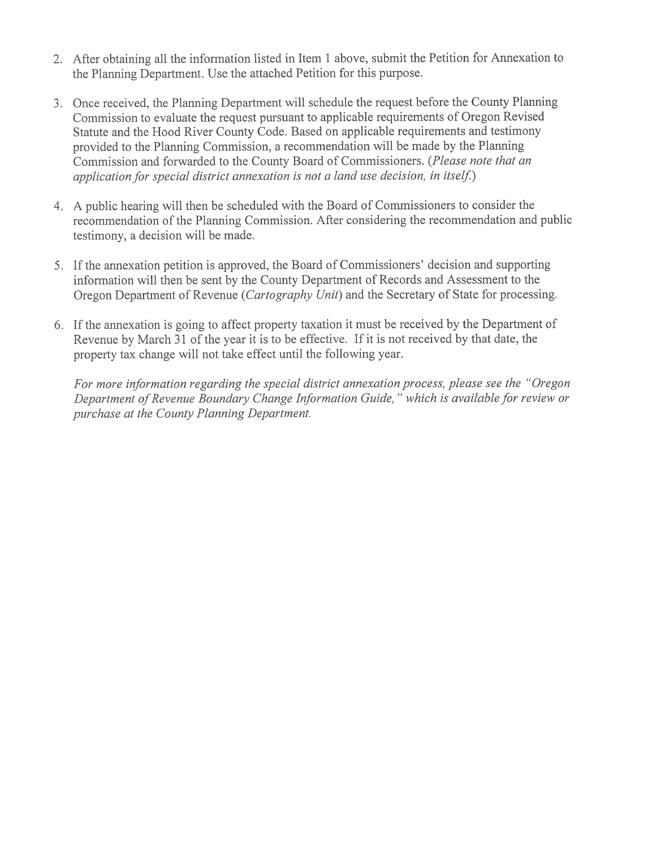- 2. After obtaining all the information listed in Item <sup>1</sup> above, submit the Petition for Annexation to the Planning Department. Use the attached Petition for this purpose.
- 3. Once received, the Planning Department will schedule the reques<sup>t</sup> before the County Planning Commission to evaluate the reques<sup>t</sup> pursuan<sup>t</sup> to applicable requirements of Oregon Revised Statute and the Hood River County Code. Based on applicable requirements and testimony provided to the Planning Commission, <sup>a</sup> recommendation will be made by the Plamiing Commission and forwarded to the County Board of Commissioners. (Please note that an application for special district annexation is not a land use decision, in itself.)
- 4. <sup>A</sup> public hearing will then be scheduled with the Board of Commissioners to consider the recommendation of the Planning Commission. After considering the recommendation and public testimony, <sup>a</sup> decision will be made.
- 5. If the annexation petition is approved, the Board of Commissioners' decision and supporting information will then be sent by the County Department of Records and Assessment to the Oregon Department of Revenue (Cartography Unit) and the Secretary of State for processing.
- 6. If the annexation is going to affect property taxation it must be received by the Department of Revenue by March 31 of the year it is to be effective. If it is not received by that date, the property tax change will not take effect until the following year.

For more information regarding the special district annexation process, please see the "Oregon Department of Revenue Boundary Change Information Guide," which is available for review or purchase at the County Planning Department.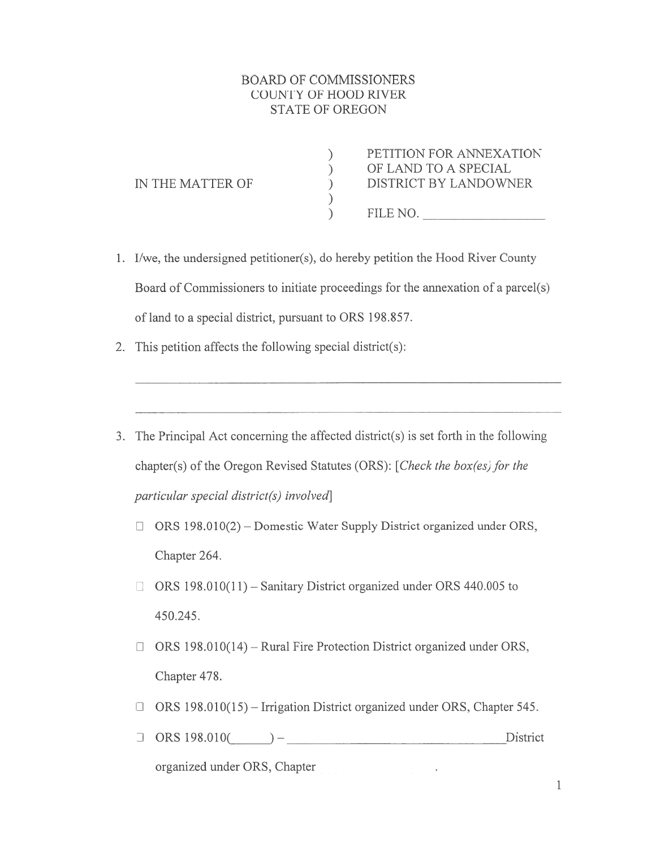## BOARD OF COMMISSIONERS COUNTY OF HOOD RIVER STATE OF OREGON

) PETITION FOR ANNEXATION<br>
) OF LAND TO A SPECIAL<br>
) DISTRICT BY LANDOWNER<br>
) ) OF LAND TO <sup>A</sup> SPECIAL IN THE MATTER OF  $\qquad \qquad$  DISTRICT BY LANDOWNER ) ) FILE NO.

1. I/we, the undersigned petitioner(s), do hereby petition the Hood River County Board of Commissioners to initiate proceedings for the annexation of <sup>a</sup> parcel(s) of land to <sup>a</sup> special district, pursuan<sup>t</sup> to ORS 198.857.

- 2. This petition affects the following special district(s):
- 3. The Principal Act concerning the affected district(s) is set forth in the following chapter(s) of the Oregon Revised Statutes (ORS): [Check the box(es) for the particular special district(s) involved]
	- $\Box$  ORS 198.010(2) Domestic Water Supply District organized under ORS, Chapter 264.
	- $\Box$  ORS 198.010(11) Sanitary District organized under ORS 440.005 to 450.245.
	- $\Box$  ORS 198.010(14) Rural Fire Protection District organized under ORS, Chapter 478.
	- $\Box$  ORS 198.010(15) Irrigation District organized under ORS, Chapter 545.
	- <sup>E</sup> ORS 198.010( )— District

organized under ORS, Chapter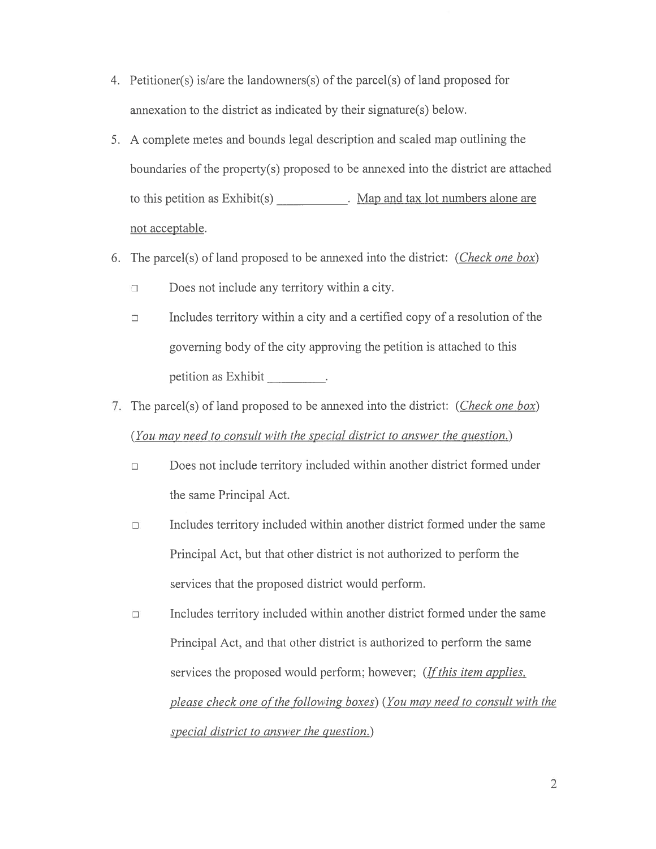- 4. Petitioner(s) is/are the landowners(s) of the parcel(s) of land proposed for annexation to the district as indicated by their signature(s) below.
- 5. A complete metes and bounds legal description and scaled map outlining the boundaries of the property(s) proposed to be annexed into the district are attached Petitioner(s) is/are the landowners(s) of the parcel(s) of land proposed for<br>annexation to the district as indicated by their signature(s) below.<br>A complete metes and bounds legal description and scaled map outlining the<br> not acceptable. er(s) is/are the landowners(s) of<br>ion to the district as indicated<br>lete metes and bounds legal do<br>ries of the property(s) propose<br>eetition as Exhibit(s)<br>eptable.<br>cel(s) of land proposed to be a<br>Does not include any territo
- 6. The parcel(s) of land proposed to be annexed into the district: (*Check one box*)
	- $\Box$  Does not include any territory within a city.
	- $\Box$ Includes territory within <sup>a</sup> city and <sup>a</sup> certified copy of <sup>a</sup> resolution of the governing body of the city approving the petition is attached to this
- 7. The parcel(s) of land proposed to be annexed into the district: (Check one box) (You may need to consult with the special district to answer the question.)
	- $\Box$ Does not include territory included within another district formed under the same Principal Act.
	- Includes territory included within another district formed under the same  $\Box$ Principal Act, but that other district is not authorized to perform the services that the proposed district would perform.
	- Includes territory included within another district formed under the same  $\Box$ Principal Act, and that other district is authorized to perform the same services the proposed would perform; however; (*If this item applies*, please check one of the following boxes) (You may need to consult with the special district to answer the question.)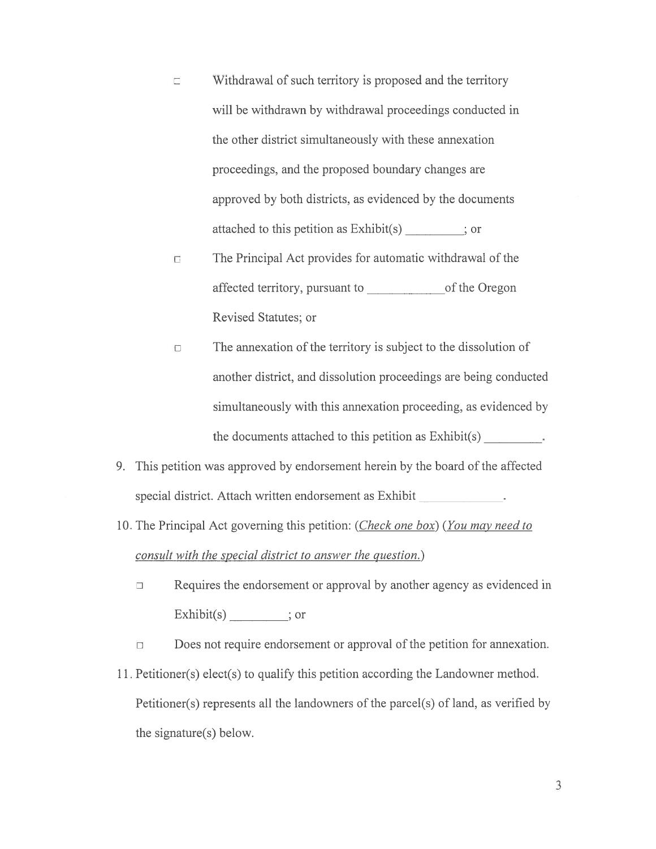- Withdrawal of such territory is proposed and the territory<br>will be withdrawn by withdrawal proceedings conducted in<br>the other district simultaneously with these annexation<br>proceedings, and the proposed boundary changes are Withdrawal of such territory is proposed and the territory  $\Box$ will be withdrawn by withdrawal proceedings conducted in the other district simultaneously with these annexation proceedings, and the proposed boundary changes are approved by both districts, as evidenced by the documents attached to this petition as Exhibit(s) \_\_\_\_\_\_\_\_\_; or
- The Principal Act provides for automatic withdrawal of the  $\Box$ affected territory, pursuant to \_\_\_\_\_\_\_\_\_\_\_\_\_\_\_\_\_\_\_\_\_of the Oregon Revised Statutes; or
- The annexation of the territory is subject to the dissolution of  $\Box$ another district, and dissolution proceedings are being conducted simultaneously with this annexation proceeding, as evidenced by
- 9. This petition was approved by endorsement herein by the board of the affected special district. Attach written endorsement as Exhibit
- 10. The Principal Act governing this petition: (Check one box) (You may need to consult with the special district to answer the question.)
	- Requires the endorsement or approval by another agency as evidenced in  $\Box$ Exhibit(s) or
	- Does not require endorsement or approval of the petition for annexation.  $\Box$
- 11. Petitioner(s) elect(s) to qualify this petition according the Landowner method. Petitioner(s) represents all the landowners of the parcel(s) of land, as verified by the signature(s) below.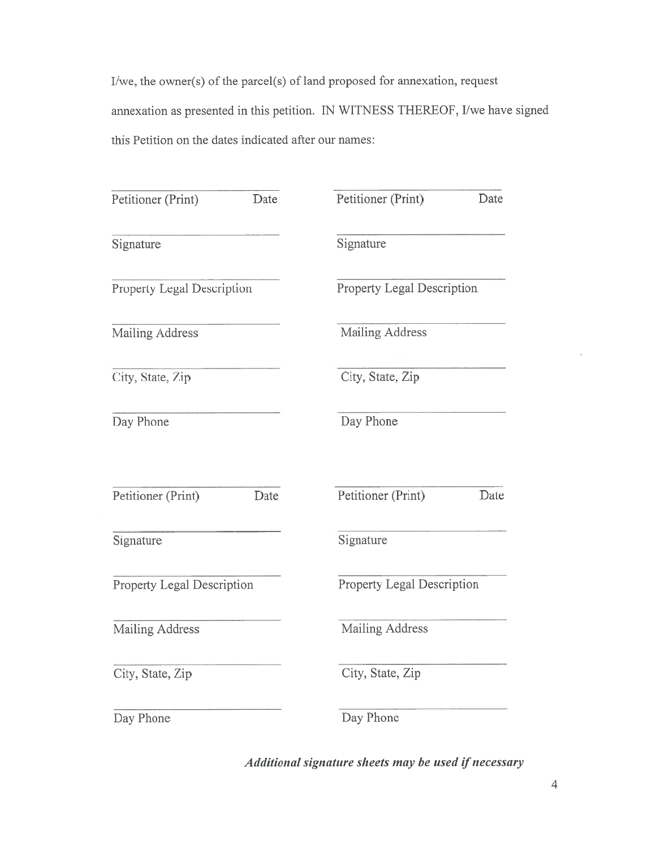I/we, the owner(s) of the parcel(s) of land proposed for annexation, reques<sup>t</sup> annexation as presented in this petition. IN WITNESS THEREOF, I/we have signed this Petition on the dates indicated after our names:

| Petitioner (Print)                | Date | Petitioner (Print)         | Date                              |  |
|-----------------------------------|------|----------------------------|-----------------------------------|--|
| Signature                         |      | Signature                  |                                   |  |
| <b>Property Legal Description</b> |      | Property Legal Description |                                   |  |
| Mailing Address                   |      | Mailing Address            |                                   |  |
| City, State, Zip                  |      | City, State, Zip           |                                   |  |
| Day Phone                         |      | Day Phone                  |                                   |  |
| Petitioner (Print)                | Date | Petitioner (Print)         | Date                              |  |
| Signature                         |      | Signature                  |                                   |  |
| <b>Property Legal Description</b> |      |                            | <b>Property Legal Description</b> |  |
| Mailing Address                   |      | Mailing Address            |                                   |  |
| City, State, Zip                  |      | City, State, Zip           |                                   |  |
| Day Phone                         |      | Day Phone                  |                                   |  |

Additional signature sheets may be used if necessary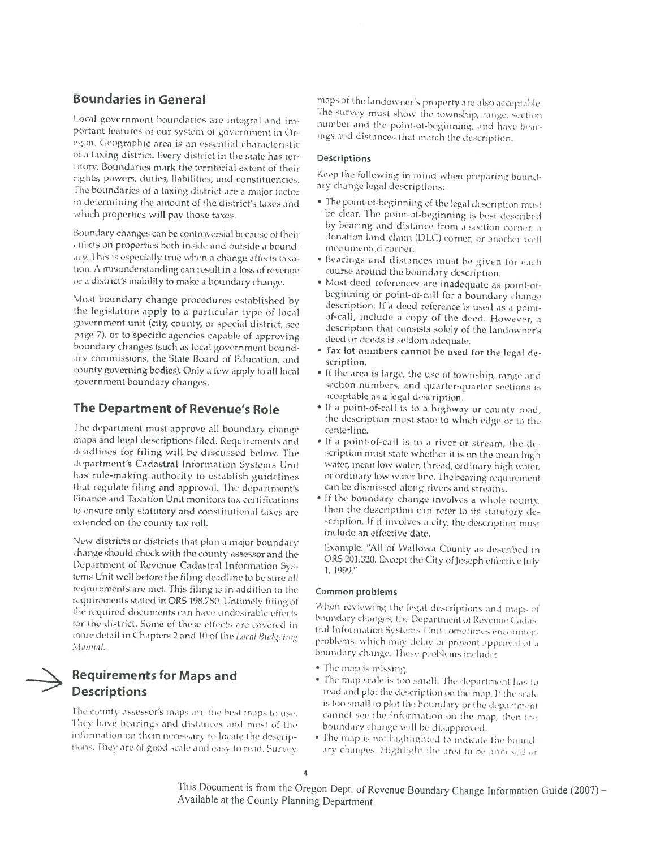### **Boundaries in General**

Local government boundaries are integral and important features of our system of government in Oregon. Geographic area is an essential characteristic of a taxing district. Every district in the state has territory. Boundaries mark the territorial extent of their rights, powers, duties, liabilities, and constituencies. The boundaries of a taxing district are a major factor in determining the amount of the district's taxes and which properties will pay those taxes.

Boundary changes can be controversial because of their effects on properties both inside and outside a boundary. This is especially true when a change affects taxation. A misunderstanding can result in a loss of revenue or a district's inability to make a boundary change.

Most boundary change procedures established by the legislature apply to a particular type of local government unit (city, county, or special district, see page 7), or to specific agencies capable of approving boundary changes (such as local government boundary commissions, the State Board of Education, and county governing bodies). Only a few apply to all local government boundary changes.

### The Department of Revenue's Role

The department must approve all boundary change maps and legal descriptions filed. Requirements and deadlines for filing will be discussed below. The department's Cadastral Information Systems Unit has rule-making authority to establish guidelines that regulate filing and approval. The department's Finance and Taxation Unit monitors tax certifications to ensure only statutory and constitutional taxes are extended on the county tax roll.

New districts or districts that plan a major boundary change should check with the county assessor and the Department of Revenue Cadastral Information Systems Unit well before the filing deadline to be sure all. requirements are met. This filing is in addition to the requirements stated in ORS 198.780. Untimely filing of the required documents can have undesirable effects for the district. Some of these effects are covered in more detail in Chapters 2 and 10 of the Lecal Budgefung Mamal.

# **Requirements for Maps and Descriptions**

The county assessor's maps are the best maps to use. They have bearings and distances and most of the information on them necessary to locate the descriptions. They are of good scale and easy to read. Survey

maps of the landowner's property are also acceptable. The survey must show the township, range, section number and the point-of-beginning, and have bearings and distances that match the description.

### Descriptions

Keep the following in mind when preparing boundary change legal descriptions:

- · The point-of-beginning of the legal description must be clear. The point-of-beginning is best described by bearing and distance from a section corner, a donation land claim (DLC) corner, or another well monumented corner.
- · Bearings and distances must be given for each course around the boundary description.
- · Most deed references are inadequate as point-ofbeginning or point-of-call for a boundary change description. If a deed reference is used as a pointof-call, include a copy of the deed. However, a description that consists solely of the landowner's deed or deeds is seldom adequate.
- \* Tax lot numbers cannot be used for the legal description.
- If the area is large, the use of township, range and section numbers, and quarter-quarter sections is acceptable as a legal description.
- . If a point-of-call is to a highway or county road, the description must state to which edge or to the centerline.
- . If a point-of-call is to a river or stream, the description must state whether it is on the mean high water, mean low water, thread, ordinary high water. or ordinary low water line. The bearing requirement can be dismissed along rivers and streams.
- . If the boundary change involves a whole county, then the description can refer to its statutory description. If it involves a city, the description must include an effective date.

Example: "All of Wallowa County as described in ORS 201.320. Except the City of Joseph effective July 1, 1999."

#### **Common problems**

When reviewing the legal descriptions and maps of boundary changes, the Department of Revenue Cadastral Information Systems Unit sometimes encounters problems, which may delay or prevent approval of a boundary change. These problems include:

- · The map is missing.
- . The map scale is too small. The department has to read and plot the description on the map. If the scale is too small to plot the boundary or the department cannot see the information on the map, then the boundary change will be disapproved.
- . The map is not highlighted to indicate the boundary changes. Highlight the area to be annexed or

This Document is from the Oregon Dept. of Revenue Boundary Change Information Guide (2007) -Available at the County Planning Department.